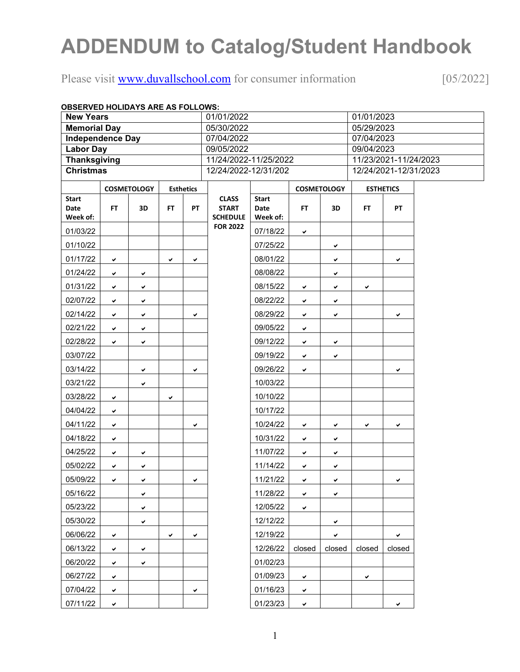# **ADDENDUM to Catalog/Student Handbook**

## Please visit [www.duvallschool.com](http://www.duvallschool.com/) for consumer information [05/2022]

| <b>OBSERVED HOLIDAYS ARE AS FOLLOWS:</b> |              |                    |     |                      |                                                 |                                  |              |                       |                       |                  |  |
|------------------------------------------|--------------|--------------------|-----|----------------------|-------------------------------------------------|----------------------------------|--------------|-----------------------|-----------------------|------------------|--|
| <b>New Years</b>                         |              |                    |     |                      | 01/01/2022                                      |                                  |              |                       | 01/01/2023            |                  |  |
| <b>Memorial Day</b>                      |              |                    |     |                      | 05/30/2022                                      |                                  |              |                       | 05/29/2023            |                  |  |
| <b>Independence Day</b>                  |              |                    |     |                      | 07/04/2022                                      |                                  |              |                       | 07/04/2023            |                  |  |
| <b>Labor Day</b>                         |              |                    |     |                      | 09/05/2022                                      |                                  |              |                       | 09/04/2023            |                  |  |
| <b>Thanksgiving</b>                      |              |                    |     |                      | 11/24/2022-11/25/2022                           |                                  |              |                       | 11/23/2021-11/24/2023 |                  |  |
| <b>Christmas</b>                         |              |                    |     | 12/24/2022-12/31/202 |                                                 |                                  |              | 12/24/2021-12/31/2023 |                       |                  |  |
|                                          |              | <b>COSMETOLOGY</b> |     | <b>Esthetics</b>     |                                                 |                                  |              | <b>COSMETOLOGY</b>    |                       | <b>ESTHETICS</b> |  |
| <b>Start</b><br>Date<br>Week of:         | FT.          | 3D                 | FT. | <b>PT</b>            | <b>CLASS</b><br><b>START</b><br><b>SCHEDULE</b> | <b>Start</b><br>Date<br>Week of: | FT.          | 3D                    | FT.                   | <b>PT</b>        |  |
| 01/03/22                                 |              |                    |     |                      | <b>FOR 2022</b>                                 | 07/18/22                         | ✔            |                       |                       |                  |  |
| 01/10/22                                 |              |                    |     |                      |                                                 | 07/25/22                         |              | ✔                     |                       |                  |  |
| 01/17/22                                 | ✔            |                    | ✔   | ✔                    |                                                 | 08/01/22                         |              | ✔                     |                       | ✔                |  |
| 01/24/22                                 | ✔            | ✓                  |     |                      |                                                 | 08/08/22                         |              | ✔                     |                       |                  |  |
| 01/31/22                                 | ✔            | ✔                  |     |                      |                                                 | 08/15/22                         | ✔            | ✔                     | ✓                     |                  |  |
| 02/07/22                                 | ✔            | ✔                  |     |                      |                                                 | 08/22/22                         | ✔            | ✔                     |                       |                  |  |
| 02/14/22                                 | ✔            | ✔                  |     | ✓                    |                                                 | 08/29/22                         | ✓            | ✔                     |                       | ✔                |  |
| 02/21/22                                 | ✔            | ✔                  |     |                      |                                                 | 09/05/22                         | ✔            |                       |                       |                  |  |
| 02/28/22                                 | ✔            | ✔                  |     |                      |                                                 | 09/12/22                         | ✔            | ✔                     |                       |                  |  |
| 03/07/22                                 |              |                    |     |                      |                                                 | 09/19/22                         | ✔            | ✔                     |                       |                  |  |
| 03/14/22                                 |              | ✔                  |     | ✓                    |                                                 | 09/26/22                         | ✔            |                       |                       | ✔                |  |
| 03/21/22                                 |              | ✔                  |     |                      |                                                 | 10/03/22                         |              |                       |                       |                  |  |
| 03/28/22                                 | $\checkmark$ |                    | ✔   |                      |                                                 | 10/10/22                         |              |                       |                       |                  |  |
| 04/04/22                                 | ✔            |                    |     |                      |                                                 | 10/17/22                         |              |                       |                       |                  |  |
| 04/11/22                                 | ✔            |                    |     | ✓                    |                                                 | 10/24/22                         | ✔            | ✔                     | ✔                     | ✔                |  |
| 04/18/22                                 | ✔            |                    |     |                      |                                                 | 10/31/22                         | ✔            | ✔                     |                       |                  |  |
| 04/25/22                                 | ✔            | ✔                  |     |                      |                                                 | 11/07/22                         | ✔            | ✔                     |                       |                  |  |
| 05/02/22                                 | ✔            | ✓                  |     |                      |                                                 | 11/14/22                         | ✔            | ✔                     |                       |                  |  |
| 05/09/22                                 | $\checkmark$ |                    |     |                      |                                                 | 11/21/22                         | $\checkmark$ |                       |                       |                  |  |
| 05/16/22                                 |              | ✔                  |     |                      |                                                 | 11/28/22                         | ✔            | ✔                     |                       |                  |  |
| 05/23/22                                 |              | ✔                  |     |                      |                                                 | 12/05/22                         | ✔            |                       |                       |                  |  |
| 05/30/22                                 |              | ✔                  |     |                      |                                                 | 12/12/22                         |              | ✔                     |                       |                  |  |
| 06/06/22                                 | ✔            |                    | ✔   | ✔                    |                                                 | 12/19/22                         |              | ✔                     |                       | ✔                |  |
| 06/13/22                                 | ✔            | ✔                  |     |                      |                                                 | 12/26/22                         | closed       | closed                | closed                | closed           |  |
| 06/20/22                                 | ✔            | ✔                  |     |                      |                                                 | 01/02/23                         |              |                       |                       |                  |  |
| 06/27/22                                 | ✔            |                    |     |                      |                                                 | 01/09/23                         | $\checkmark$ |                       | v                     |                  |  |
| 07/04/22                                 | ✔            |                    |     | ✔                    |                                                 | 01/16/23                         | ✔            |                       |                       |                  |  |
| 07/11/22                                 | ✔            |                    |     |                      |                                                 | 01/23/23                         | ✔            |                       |                       | ✔                |  |